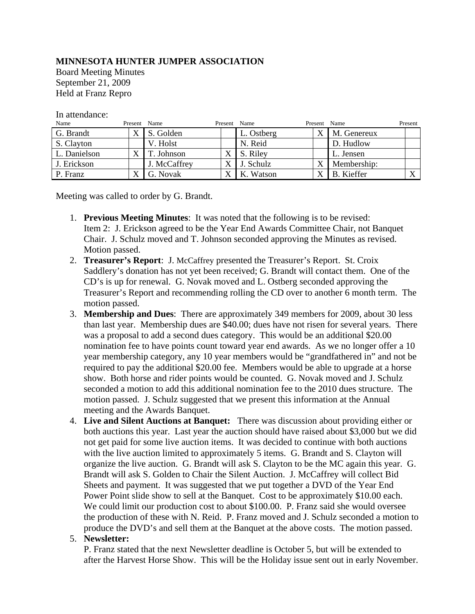## **MINNESOTA HUNTER JUMPER ASSOCIATION**

Board Meeting Minutes September 21, 2009 Held at Franz Repro

## In attendance:

| Name         | Present Name              |              | Present | Name       | Present                   | Name              | Present |
|--------------|---------------------------|--------------|---------|------------|---------------------------|-------------------|---------|
| G. Brandt    | $\mathbf{v}$<br>$\Lambda$ | S. Golden    |         | L. Ostberg | $\mathbf v$<br>Λ          | M. Genereux       |         |
| S. Clayton   |                           | V. Holst     |         | N. Reid    |                           | D. Hudlow         |         |
| L. Danielson | v                         | T. Johnson   |         | S. Riley   |                           | L. Jensen         |         |
| J. Erickson  |                           | J. McCaffrey |         | J. Schulz  | $\mathbf{v}$<br>$\lambda$ | Membership:       |         |
| P. Franz     |                           | G. Novak     |         | K. Watson  | X                         | <b>B.</b> Kieffer |         |

Meeting was called to order by G. Brandt.

- 1. **Previous Meeting Minutes**: It was noted that the following is to be revised: Item 2: J. Erickson agreed to be the Year End Awards Committee Chair, not Banquet Chair. J. Schulz moved and T. Johnson seconded approving the Minutes as revised. Motion passed.
- 2. **Treasurer's Report**: J. McCaffrey presented the Treasurer's Report. St. Croix Saddlery's donation has not yet been received; G. Brandt will contact them. One of the CD's is up for renewal. G. Novak moved and L. Ostberg seconded approving the Treasurer's Report and recommending rolling the CD over to another 6 month term. The motion passed.
- 3. **Membership and Dues**: There are approximately 349 members for 2009, about 30 less than last year. Membership dues are \$40.00; dues have not risen for several years. There was a proposal to add a second dues category. This would be an additional \$20.00 nomination fee to have points count toward year end awards. As we no longer offer a 10 year membership category, any 10 year members would be "grandfathered in" and not be required to pay the additional \$20.00 fee. Members would be able to upgrade at a horse show. Both horse and rider points would be counted. G. Novak moved and J. Schulz seconded a motion to add this additional nomination fee to the 2010 dues structure. The motion passed. J. Schulz suggested that we present this information at the Annual meeting and the Awards Banquet.
- 4. **Live and Silent Auctions at Banquet:** There was discussion about providing either or both auctions this year. Last year the auction should have raised about \$3,000 but we did not get paid for some live auction items. It was decided to continue with both auctions with the live auction limited to approximately 5 items. G. Brandt and S. Clayton will organize the live auction. G. Brandt will ask S. Clayton to be the MC again this year. G. Brandt will ask S. Golden to Chair the Silent Auction. J. McCaffrey will collect Bid Sheets and payment. It was suggested that we put together a DVD of the Year End Power Point slide show to sell at the Banquet. Cost to be approximately \$10.00 each. We could limit our production cost to about \$100.00. P. Franz said she would oversee the production of these with N. Reid. P. Franz moved and J. Schulz seconded a motion to produce the DVD's and sell them at the Banquet at the above costs. The motion passed.

## 5. **Newsletter:**

P. Franz stated that the next Newsletter deadline is October 5, but will be extended to after the Harvest Horse Show. This will be the Holiday issue sent out in early November.